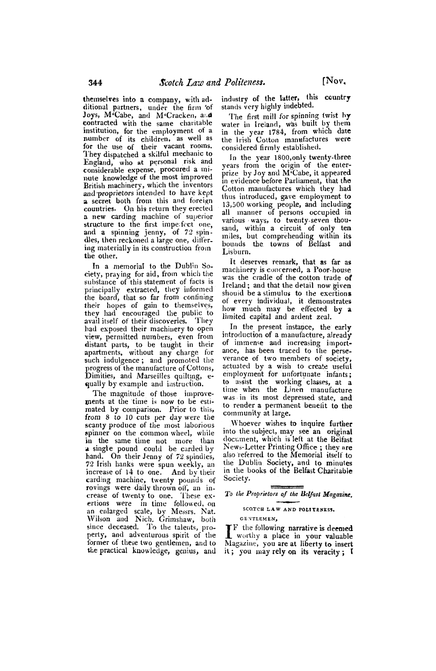**themselves into a company, with additional partners, under the firm 'of**  Joys, M<sup>2</sup>Cabe, and M<sup>2</sup>Cracken, and **contracted with the same charitable institution, for the employment of a number of its children, as well as for the use of their vacant rooms. They dispatched a skilful mechanic to England, who at personal risk and considerable expense, procured a miigate knowledge of the most improved British machinery, which the inventors and proprietors intended to have kept a secret both from this and foreign countries. On his return they erected a new carding machine of superior**  structure to the first imperfect one, **and a spinning jenny, of 72 spindles, then reckoned a large one, dif'ering materially in its construction firom the other.** 

**In a memorial to the Dublin Society, praying for aid, from which the suhstance of this statement of facts is principally extracted, they informed the board, that so far from confining their hopes of gain to themselves, they Ihad encouraged the public to avail itself of their discoveries. They**  had exposed their machinery to open **view, permitted numbers, even from distant parts, to be taught in their apartments, without any charge for such indulgence; and promoted the progress of the manufacture of Cottons, Dimities, and Marseilles quilting, equally by example and instruction.** 

**The magnitude of those improve-<br>
<b>leads linents at the time is now to be estimated by comparison. Prior to this, from 8 to 10 cuts per day were the scanty produce of the most laborious spinner on the common wheel, while in the same time not more than a single pound could be carded by hand. On their Jenny of 72 spindles, 72 Irish hanks were spun weekly, an increase of 14 to one. And by their carding machine, twenty pounds of rovings were daily thrown off, an increase of twenty to one. These exertions were in time followed, on an enlarged scale, by Messrs. Nat. Wilson and Nich. Grimshaw, both since deceased. To the talents, property, and adventurous spirit of the former of these two gentlemen, and to the practical knowledge, genius, and** 

**industry of the latter, this country stands very highly indebted.** 

**The first mill for spinning twist by water in Ireiand, was built by them in the year 1784, from which date the Irish Cotton manufactures were considered firmly established.** 

**In the year 1800,only twenty-three years from the origin of the enterprize by Joy and M'Cabe, it appeared in evidence before Parliament, that the Cotton manufactures which they had thus introduced, gave employment to 13,500 working people, and including all manner of persons occupied in**  various ways, to twenty-seven thou**sand, within a circuit of only ten miles, but comprelending within its bounds the. towns of Belfast and Lisburn.** 

**It deserves remark, that as far as machinery is concerned, a Poor-house was the cradle of the cotton trade of Ireland; and that the detail now given shouid be a stimulus to the exertions of every individual, it demonstrates how much may be effected by a limited capital and ardent zeal.** 

**In the present instance, the early introduction of a manufacture, already**  of immense and increasing import**ance, has been traced to the perseverance of two members of society, actuated by a wish to create useful emnployment for unfortunate infants; to assist the working classes, at a time when the Linen manufacture was in its most depressed state, and to render a permanent benelit to the community at large.** 

**Whoever wishes to inquire further into the subject, may see an original document, which is left at the Belfast News-Letter Printing Office ; they are also'referred to the Memorial itself to the Dublin Society, and to minutes in the books of the Belfast Charitable Society.** 

**To the Proprietors of the Belfast Magazine.** 

## SCOTCH LAW AND POLITENESS.

**GENTLEMEN,** 

**IF the following narrative is deemed worthy a place in your valuable Magazine, you are at liberty to insert it; you may rely on its veracity; I**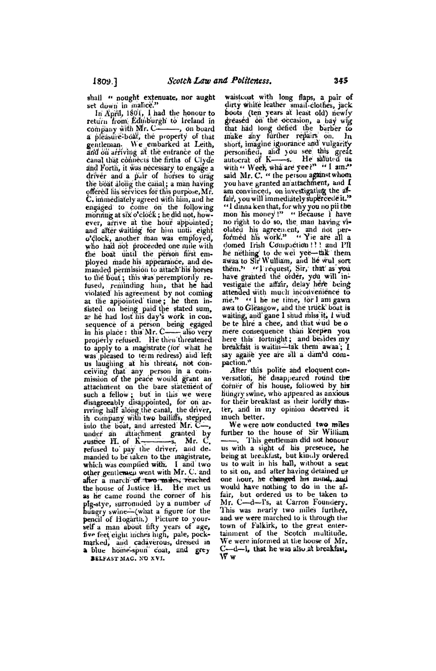shall " nought extenuate, nor aught set down in malice."

In April, 1801, I had the honour to return from Edinburgh to Ireland in company with Mr. C-—, on board a pleasure-boat, the property of that gentleman. We embarked at Leith, and on arriving at the entrance of the canal that connects the firths of Clyde and Forth, it was necessary to engage a driver and a pair of horses to drag the boat along the canal; a man having offered his services for this purpose, Mr.<br>C. immediately agreed with him, and he engaged to come on the following morming at six o'clock; he did not, how-<br>ever, arrive at the hour appointed; and after waiting for him until eight o'clock, another man was employed, who had not proceeded one mile with the boat until the person first employed made his appearance, and demanded permission to attach his horses to the boat; this was peremptorily refused, reminding hun, that he had violated his agreement by not coming at the appointed time; he then insisted on being paid the stated sum, as he had lost his day's work in consequence of a person being egged<br>in his place : this Mr. Communication of a person being egged<br>properly refused. He then threatened to apply to a magistrate (for what he was pleased to term redress) and left<br>us laughing at his threats, not conceiving that any person in a com-<br>mission of the peace would grant an attachment on the bare statement of such a fellow; but in this we were disagreeably disappointed, for on arriving half along the canal, the driver, in company with two bailiffs, stepped into the boat, and arrested Mr. Cunder an attachment granted by vustice H. of  $K-$ -s. Mr. C. refused to pay the driver, and demanded to be taken to the magistrate,<br>which was complied with. I and two other gentlemen went with Mr. C. and after a march of two miles, reached the house of Justice H. He met us as he came round the corner of his plg-stye, surrounded by a number of<br>hungry swine-what a figure for the pencil of Hogarth.) Picture to your-<br>self a man about tifty years of age, five feet eight inches high, pale, pockmarked, and cadaverous, dressed in

BELFAST MAG. NO XVI.

waistcoat with long flaps, a pair of dirty white leather small-clothes, jack boots (ten years at least old) newly<br>greased on the occasion, a bay wig<br>that had long defied the barber to make any further repairs on. In short, imagine ignorance and vulgarity personified, and you see this great<br>autocrat of K—s. He saluted us<br>with " Week, wha are yee?" "I am."<br>said Mr. C. " the person against whom you have granted an attachment, and I am convinced, on investigating the affair, you will immediately supercede it." "I dinna ken that, for why you no pil the mon his money!" "Because 1 have no right to do so, the man having violated his agreement, and not per-<br>formed his work." "Yie are all a domed Trish Compaction!!!! and Pfl be neithing to de wei yee—tak them<br>awaa to Sir Wulliam, and he wul sort<br>them." "I request, Sir, that as you<br>have granted the order, you will investigate the affair, delay here being attended with much inconvenience to me." "I he ne time, for I am gawn awa to Gleasgow, and the truck boat is waiting, and gane I shud miss it, I wud be te hire a chee, and that wud be o mere consequence than keepen you here this fortnight; and besides my breakfast is waitin-tak them awaa; I say agane yee are all a dam'd compaction."

After this polite and eloquent conversation, he disappeared round the corner of his house, followed by his hungry swine, who appeared as anxious for their breakfast as their lordly master, and in my opinion deserved it much better.

We were now conducted two miles further to the house of Sir William This gentleman did not honour us with a sight of his presence, he being at breakfast, but kindly ordered us to wait in his hall, without a seat to sit on, and after having detained us one hour, he changed his mind, and would have nothing to do in the affair, but ordered us to be taken to Mr. C-d-I's, at Carron Foundery. This was nearly two miles further, and we were marched to it through the town of Falkirk, to the great entertainment of the Scotch multitude. We were informed at the house of Mr.  $C - d - l$ , that he was also at breakfast,  $\bar{\mathbf{w}}$  w